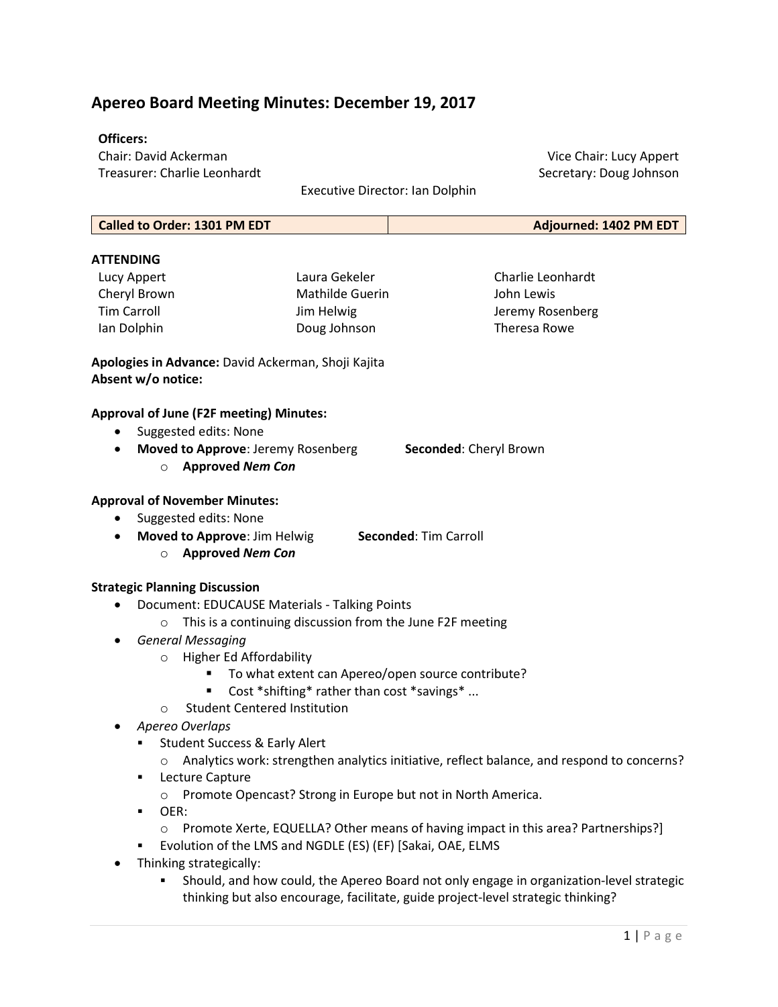# Apereo Board Meeting Minutes: December 19, 2017

### Officers:

Chair: David Ackerman Treasurer: Charlie Leonhardt

Executive Director: Ian Dolphin

| <b>Called to Order: 1301 PM EDT</b> | Adjourned: 1402 PM EDT |
|-------------------------------------|------------------------|
|                                     |                        |

# **ATTENDING**

Lucy Appert Cheryl Brown Tim Carroll Ian Dolphin

Laura Gekeler Mathilde Guerin Jim Helwig Doug Johnson

Charlie Leonhardt John Lewis Jeremy Rosenberg Theresa Rowe

Apologies in Advance: David Ackerman, Shoji Kajita Absent w/o notice:

### Approval of June (F2F meeting) Minutes:

- Suggested edits: None
- Moved to Approve: Jeremy Rosenberg Seconded: Cheryl Brown
	- o Approved Nem Con

#### Approval of November Minutes:

- Suggested edits: None
- Moved to Approve: Jim Helwig Seconded: Tim Carroll
	- o Approved Nem Con

### Strategic Planning Discussion

- Document: EDUCAUSE Materials Talking Points
	- o This is a continuing discussion from the June F2F meeting
- **•** General Messaging
	- o Higher Ed Affordability
		- To what extent can Apereo/open source contribute?
		- Cost \*shifting\* rather than cost \*savings\* ...
	- o Student Centered Institution
- Apereo Overlaps
	- **Student Success & Early Alert** 
		- o Analytics work: strengthen analytics initiative, reflect balance, and respond to concerns?
	- **EXECUTE Capture** 
		- o Promote Opencast? Strong in Europe but not in North America.
	- OER:
		- o Promote Xerte, EQUELLA? Other means of having impact in this area? Partnerships?]
	- Evolution of the LMS and NGDLE (ES) (EF) [Sakai, OAE, ELMS
- Thinking strategically:
	- Should, and how could, the Apereo Board not only engage in organization-level strategic thinking but also encourage, facilitate, guide project-level strategic thinking?

Vice Chair: Lucy Appert

Secretary: Doug Johnson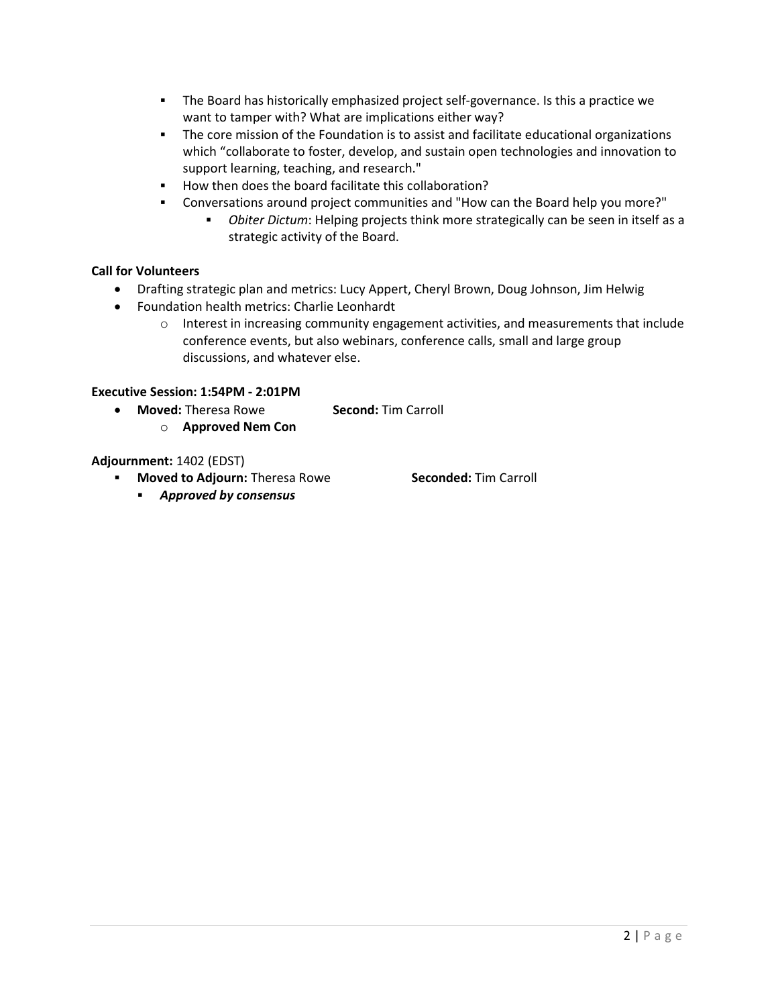- The Board has historically emphasized project self-governance. Is this a practice we want to tamper with? What are implications either way?
- The core mission of the Foundation is to assist and facilitate educational organizations which "collaborate to foster, develop, and sustain open technologies and innovation to support learning, teaching, and research."
- How then does the board facilitate this collaboration?
- Conversations around project communities and "How can the Board help you more?"
	- Obiter Dictum: Helping projects think more strategically can be seen in itself as a strategic activity of the Board.

# Call for Volunteers

- Drafting strategic plan and metrics: Lucy Appert, Cheryl Brown, Doug Johnson, Jim Helwig
- Foundation health metrics: Charlie Leonhardt
	- $\circ$  Interest in increasing community engagement activities, and measurements that include conference events, but also webinars, conference calls, small and large group discussions, and whatever else.

### Executive Session: 1:54PM - 2:01PM

- Moved: Theresa Rowe Second: Tim Carroll
	- o Approved Nem Con

# Adjournment: 1402 (EDST)

- " Moved to Adjourn: Theresa Rowe Seconded: Tim Carroll
	- Approved by consensus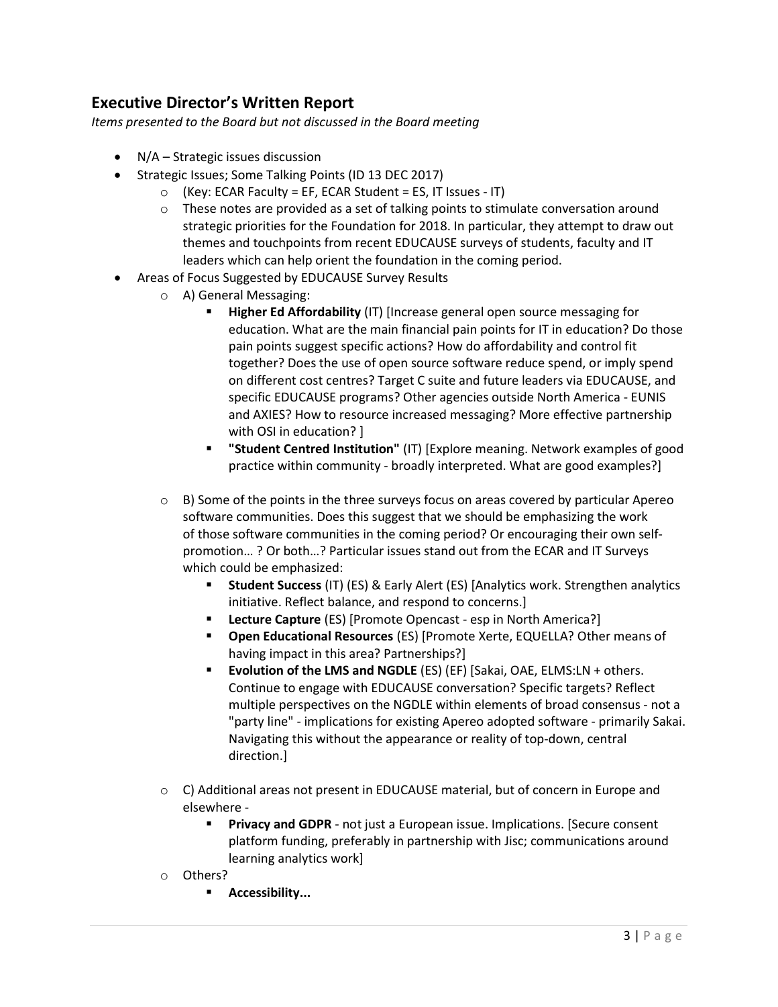# Executive Director's Written Report

Items presented to the Board but not discussed in the Board meeting

- N/A Strategic issues discussion
- Strategic Issues; Some Talking Points (ID 13 DEC 2017)
	- $\circ$  (Key: ECAR Faculty = EF, ECAR Student = ES, IT Issues IT)
	- $\circ$  These notes are provided as a set of talking points to stimulate conversation around strategic priorities for the Foundation for 2018. In particular, they attempt to draw out themes and touchpoints from recent EDUCAUSE surveys of students, faculty and IT leaders which can help orient the foundation in the coming period.
- Areas of Focus Suggested by EDUCAUSE Survey Results
	- o A) General Messaging:
		- **Higher Ed Affordability** (IT) [Increase general open source messaging for education. What are the main financial pain points for IT in education? Do those pain points suggest specific actions? How do affordability and control fit together? Does the use of open source software reduce spend, or imply spend on different cost centres? Target C suite and future leaders via EDUCAUSE, and specific EDUCAUSE programs? Other agencies outside North America - EUNIS and AXIES? How to resource increased messaging? More effective partnership with OSI in education? ]
		- "Student Centred Institution" (IT) [Explore meaning. Network examples of good practice within community - broadly interpreted. What are good examples?]
	- $\circ$  B) Some of the points in the three surveys focus on areas covered by particular Apereo software communities. Does this suggest that we should be emphasizing the work of those software communities in the coming period? Or encouraging their own selfpromotion… ? Or both…? Particular issues stand out from the ECAR and IT Surveys which could be emphasized:
		- Student Success (IT) (ES) & Early Alert (ES) [Analytics work. Strengthen analytics initiative. Reflect balance, and respond to concerns.]
		- Lecture Capture (ES) [Promote Opencast esp in North America?]
		- Open Educational Resources (ES) [Promote Xerte, EQUELLA? Other means of having impact in this area? Partnerships?]
		- Evolution of the LMS and NGDLE (ES) (EF) [Sakai, OAE, ELMS:LN + others. Continue to engage with EDUCAUSE conversation? Specific targets? Reflect multiple perspectives on the NGDLE within elements of broad consensus - not a "party line" - implications for existing Apereo adopted software - primarily Sakai. Navigating this without the appearance or reality of top-down, central direction.]
	- $\circ$  C) Additional areas not present in EDUCAUSE material, but of concern in Europe and elsewhere -
		- **Privacy and GDPR** not just a European issue. Implications. [Secure consent platform funding, preferably in partnership with Jisc; communications around learning analytics work]
	- o Others?
		- **Accessibility...**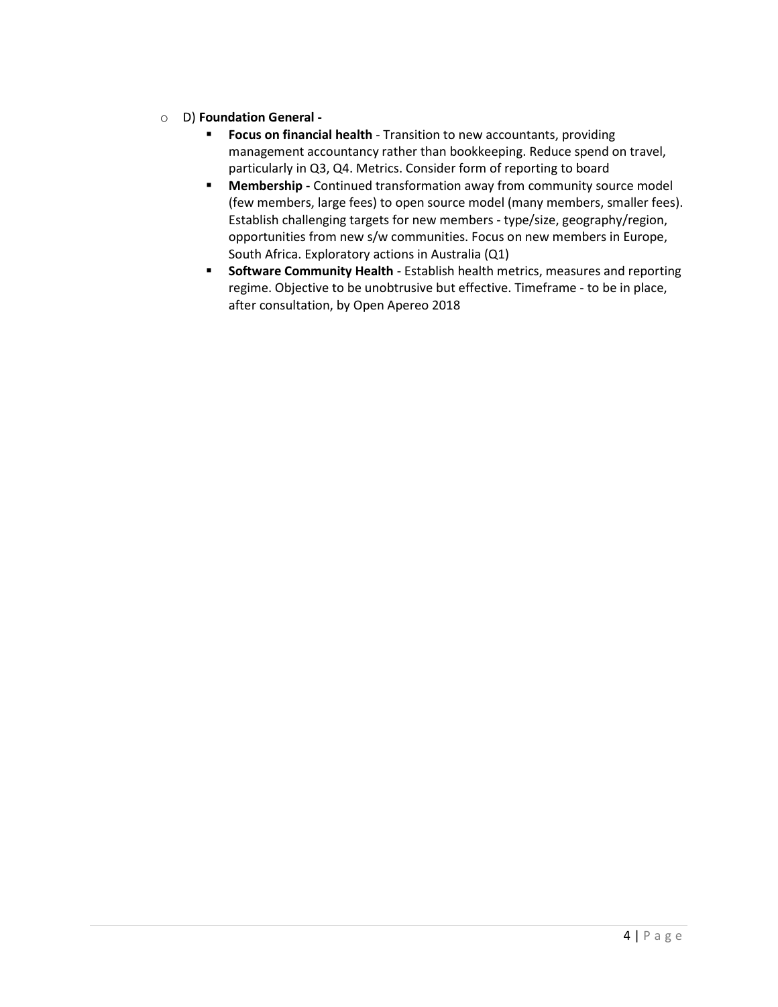# o D) Foundation General -

- **Focus on financial health** Transition to new accountants, providing management accountancy rather than bookkeeping. Reduce spend on travel, particularly in Q3, Q4. Metrics. Consider form of reporting to board
- **Membership** Continued transformation away from community source model (few members, large fees) to open source model (many members, smaller fees). Establish challenging targets for new members - type/size, geography/region, opportunities from new s/w communities. Focus on new members in Europe, South Africa. Exploratory actions in Australia (Q1)
- **Software Community Health** Establish health metrics, measures and reporting regime. Objective to be unobtrusive but effective. Timeframe - to be in place, after consultation, by Open Apereo 2018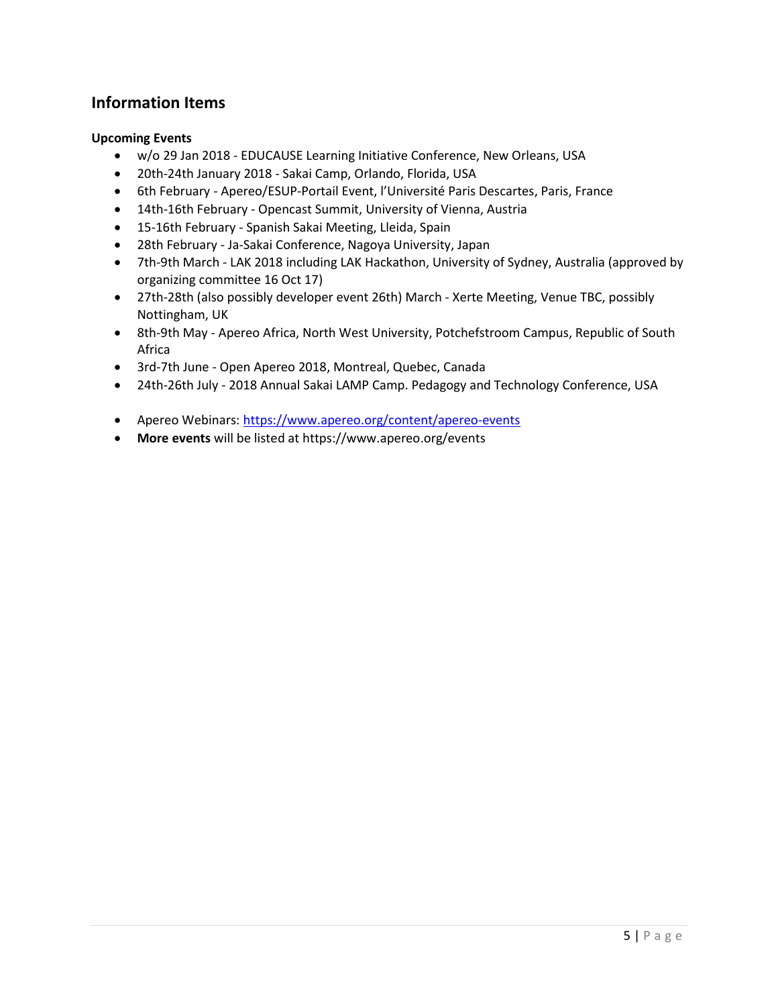# Information Items

# Upcoming Events

- w/o 29 Jan 2018 EDUCAUSE Learning Initiative Conference, New Orleans, USA
- 20th-24th January 2018 Sakai Camp, Orlando, Florida, USA
- 6th February Apereo/ESUP-Portail Event, l'Université Paris Descartes, Paris, France
- 14th-16th February Opencast Summit, University of Vienna, Austria
- 15-16th February Spanish Sakai Meeting, Lleida, Spain
- 28th February Ja-Sakai Conference, Nagoya University, Japan
- 7th-9th March LAK 2018 including LAK Hackathon, University of Sydney, Australia (approved by organizing committee 16 Oct 17)
- 27th-28th (also possibly developer event 26th) March Xerte Meeting, Venue TBC, possibly Nottingham, UK
- 8th-9th May Apereo Africa, North West University, Potchefstroom Campus, Republic of South Africa
- 3rd-7th June Open Apereo 2018, Montreal, Quebec, Canada
- 24th-26th July 2018 Annual Sakai LAMP Camp. Pedagogy and Technology Conference, USA
- Apereo Webinars: https://www.apereo.org/content/apereo-events
- More events will be listed at https://www.apereo.org/events